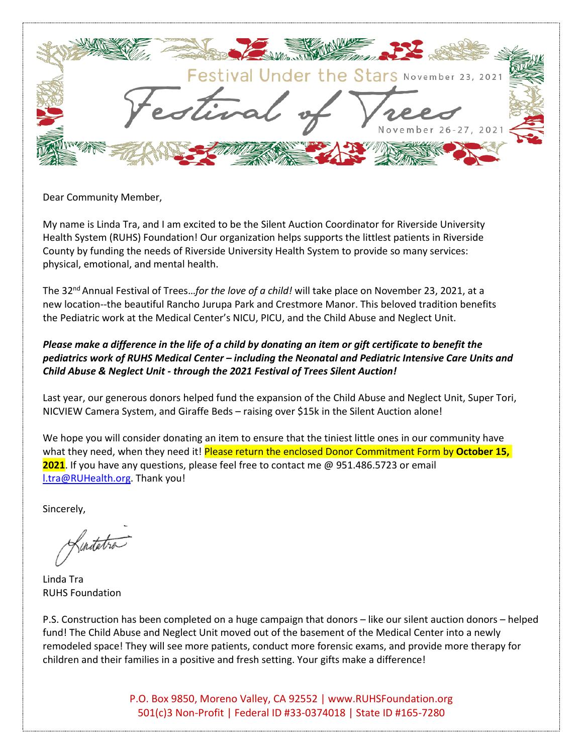

## Dear Community Member,

My name is Linda Tra, and I am excited to be the Silent Auction Coordinator for Riverside University Health System (RUHS) Foundation! Our organization helps supports the littlest patients in Riverside County by funding the needs of Riverside University Health System to provide so many services: physical, emotional, and mental health.

The 32nd Annual Festival of Trees…*for the love of a child!* will take place on November 23, 2021, at a new location--the beautiful Rancho Jurupa Park and Crestmore Manor. This beloved tradition benefits the Pediatric work at the Medical Center's NICU, PICU, and the Child Abuse and Neglect Unit.

## *Please make a difference in the life of a child by donating an item or gift certificate to benefit the pediatrics work of RUHS Medical Center – including the Neonatal and Pediatric Intensive Care Units and Child Abuse & Neglect Unit - through the 2021 Festival of Trees Silent Auction!*

Last year, our generous donors helped fund the expansion of the Child Abuse and Neglect Unit, Super Tori, NICVIEW Camera System, and Giraffe Beds – raising over \$15k in the Silent Auction alone!

We hope you will consider donating an item to ensure that the tiniest little ones in our community have what they need, when they need it! Please return the enclosed Donor Commitment Form by October 15, **2021**. If you have any questions, please feel free to contact me @ 951.486.5723 or email [l.tra@RUHealth.org.](mailto:l.tra@RUHealth.org) Thank you!

Sincerely,

Kinitetra

Linda Tra RUHS Foundation

P.S. Construction has been completed on a huge campaign that donors – like our silent auction donors – helped fund! The Child Abuse and Neglect Unit moved out of the basement of the Medical Center into a newly remodeled space! They will see more patients, conduct more forensic exams, and provide more therapy for children and their families in a positive and fresh setting. Your gifts make a difference!

> P.O. Box 9850, Moreno Valley, CA 92552 [| www.RUHSFoundation.org](http://www.ruhsfoundation.org/) 501(c)3 Non-Profit | Federal ID #33-0374018 | State ID #165-7280